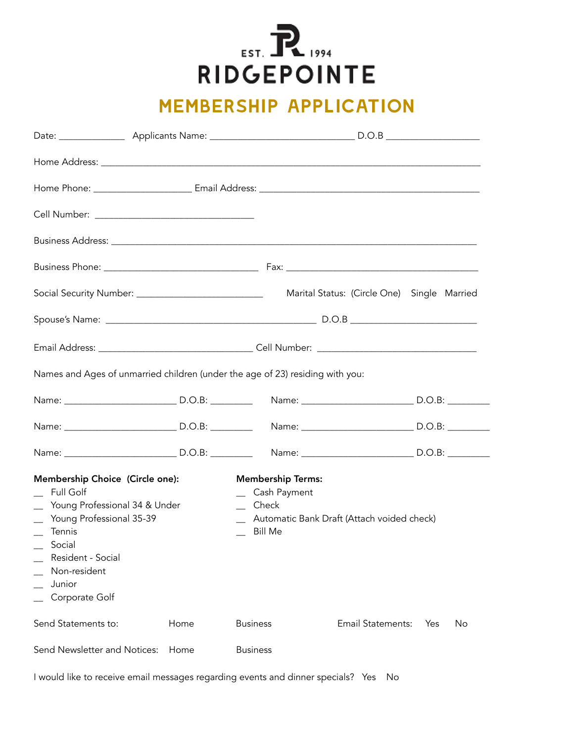**POSTAR AND GEPOINTE** 

## membership application

| Social Security Number: ______________________________                                                                                                                                                  |      |                                                                                                                                | Marital Status: (Circle One) Single Married |           |  |
|---------------------------------------------------------------------------------------------------------------------------------------------------------------------------------------------------------|------|--------------------------------------------------------------------------------------------------------------------------------|---------------------------------------------|-----------|--|
|                                                                                                                                                                                                         |      |                                                                                                                                |                                             |           |  |
|                                                                                                                                                                                                         |      |                                                                                                                                |                                             |           |  |
|                                                                                                                                                                                                         |      | Names and Ages of unmarried children (under the age of 23) residing with you:                                                  |                                             |           |  |
|                                                                                                                                                                                                         |      |                                                                                                                                |                                             |           |  |
|                                                                                                                                                                                                         |      |                                                                                                                                |                                             |           |  |
|                                                                                                                                                                                                         |      |                                                                                                                                |                                             |           |  |
| Membership Choice (Circle one):<br>Full Golf<br>Young Professional 34 & Under<br>Young Professional 35-39<br>Tennis<br>$\equiv$ Social<br>Resident - Social<br>Non-resident<br>Junior<br>Corporate Golf |      | <b>Membership Terms:</b><br>_ Cash Payment<br>$\equiv$ Check<br>_ Automatic Bank Draft (Attach voided check)<br><b>Bill Me</b> |                                             |           |  |
| Send Statements to:                                                                                                                                                                                     | Home | <b>Business</b>                                                                                                                | <b>Email Statements:</b>                    | Yes<br>No |  |
| Send Newsletter and Notices:                                                                                                                                                                            | Home | <b>Business</b>                                                                                                                |                                             |           |  |

I would like to receive email messages regarding events and dinner specials? Yes No